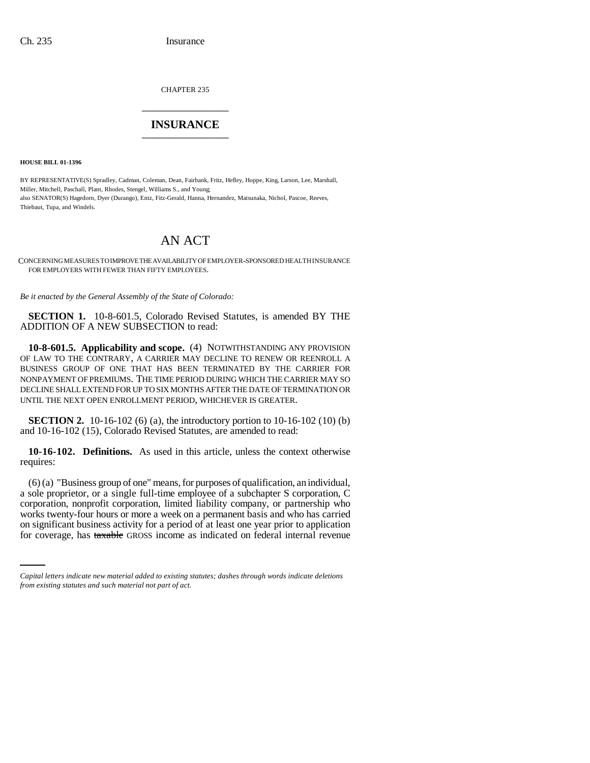CHAPTER 235 \_\_\_\_\_\_\_\_\_\_\_\_\_\_\_

## **INSURANCE** \_\_\_\_\_\_\_\_\_\_\_\_\_\_\_

**HOUSE BILL 01-1396**

BY REPRESENTATIVE(S) Spradley, Cadman, Coleman, Dean, Fairbank, Fritz, Hefley, Hoppe, King, Larson, Lee, Marshall, Miller, Mitchell, Paschall, Plant, Rhodes, Stengel, Williams S., and Young; also SENATOR(S) Hagedorn, Dyer (Durango), Entz, Fitz-Gerald, Hanna, Hernandez, Matsunaka, Nichol, Pascoe, Reeves, Thiebaut, Tupa, and Windels.

## AN ACT

CONCERNING MEASURES TO IMPROVE THE AVAILABILITY OF EMPLOYER-SPONSORED HEALTH INSURANCE FOR EMPLOYERS WITH FEWER THAN FIFTY EMPLOYEES.

*Be it enacted by the General Assembly of the State of Colorado:*

**SECTION 1.** 10-8-601.5, Colorado Revised Statutes, is amended BY THE ADDITION OF A NEW SUBSECTION to read:

**10-8-601.5. Applicability and scope.** (4) NOTWITHSTANDING ANY PROVISION OF LAW TO THE CONTRARY, A CARRIER MAY DECLINE TO RENEW OR REENROLL A BUSINESS GROUP OF ONE THAT HAS BEEN TERMINATED BY THE CARRIER FOR NONPAYMENT OF PREMIUMS. THE TIME PERIOD DURING WHICH THE CARRIER MAY SO DECLINE SHALL EXTEND FOR UP TO SIX MONTHS AFTER THE DATE OF TERMINATION OR UNTIL THE NEXT OPEN ENROLLMENT PERIOD, WHICHEVER IS GREATER.

**SECTION 2.** 10-16-102 (6) (a), the introductory portion to 10-16-102 (10) (b) and 10-16-102 (15), Colorado Revised Statutes, are amended to read:

**10-16-102. Definitions.** As used in this article, unless the context otherwise requires:

works twenty-four hours or more a week on a permanent basis and who has carried (6) (a) "Business group of one" means, for purposes of qualification, an individual, a sole proprietor, or a single full-time employee of a subchapter S corporation, C corporation, nonprofit corporation, limited liability company, or partnership who on significant business activity for a period of at least one year prior to application for coverage, has taxable GROSS income as indicated on federal internal revenue

*Capital letters indicate new material added to existing statutes; dashes through words indicate deletions from existing statutes and such material not part of act.*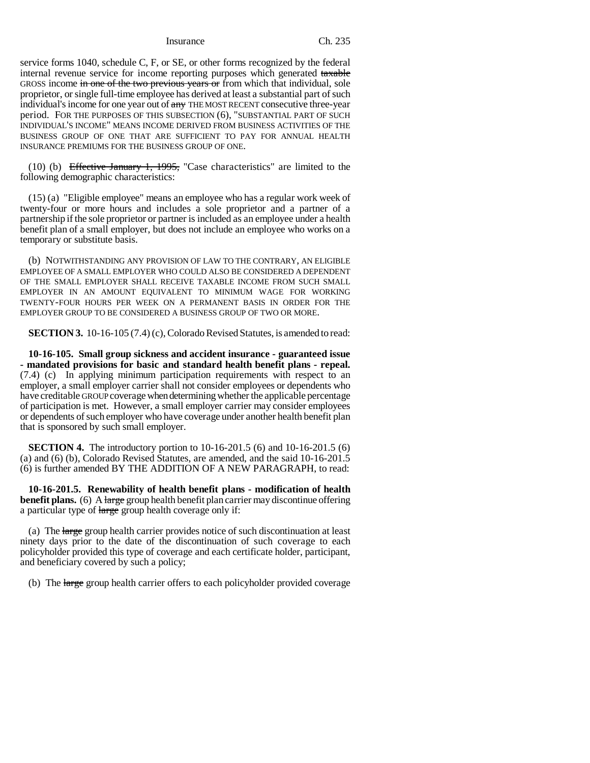Insurance Ch. 235

service forms 1040, schedule C, F, or SE, or other forms recognized by the federal internal revenue service for income reporting purposes which generated taxable GROSS income in one of the two previous years or from which that individual, sole proprietor, or single full-time employee has derived at least a substantial part of such individual's income for one year out of  $\frac{1}{(2\pi)^2}$  THE MOST RECENT consecutive three-year period. FOR THE PURPOSES OF THIS SUBSECTION (6), "SUBSTANTIAL PART OF SUCH INDIVIDUAL'S INCOME" MEANS INCOME DERIVED FROM BUSINESS ACTIVITIES OF THE BUSINESS GROUP OF ONE THAT ARE SUFFICIENT TO PAY FOR ANNUAL HEALTH INSURANCE PREMIUMS FOR THE BUSINESS GROUP OF ONE.

(10) (b) Effective January 1, 1995, "Case characteristics" are limited to the following demographic characteristics:

(15) (a) "Eligible employee" means an employee who has a regular work week of twenty-four or more hours and includes a sole proprietor and a partner of a partnership if the sole proprietor or partner is included as an employee under a health benefit plan of a small employer, but does not include an employee who works on a temporary or substitute basis.

(b) NOTWITHSTANDING ANY PROVISION OF LAW TO THE CONTRARY, AN ELIGIBLE EMPLOYEE OF A SMALL EMPLOYER WHO COULD ALSO BE CONSIDERED A DEPENDENT OF THE SMALL EMPLOYER SHALL RECEIVE TAXABLE INCOME FROM SUCH SMALL EMPLOYER IN AN AMOUNT EQUIVALENT TO MINIMUM WAGE FOR WORKING TWENTY-FOUR HOURS PER WEEK ON A PERMANENT BASIS IN ORDER FOR THE EMPLOYER GROUP TO BE CONSIDERED A BUSINESS GROUP OF TWO OR MORE.

**SECTION 3.** 10-16-105 (7.4) (c), Colorado Revised Statutes, is amended to read:

**10-16-105. Small group sickness and accident insurance - guaranteed issue - mandated provisions for basic and standard health benefit plans - repeal.** (7.4) (c) In applying minimum participation requirements with respect to an employer, a small employer carrier shall not consider employees or dependents who have creditable GROUP coverage when determining whether the applicable percentage of participation is met. However, a small employer carrier may consider employees or dependents of such employer who have coverage under another health benefit plan that is sponsored by such small employer.

**SECTION 4.** The introductory portion to 10-16-201.5 (6) and 10-16-201.5 (6) (a) and (6) (b), Colorado Revised Statutes, are amended, and the said 10-16-201.5 (6) is further amended BY THE ADDITION OF A NEW PARAGRAPH, to read:

**10-16-201.5. Renewability of health benefit plans - modification of health benefit plans.** (6) A large group health benefit plan carrier may discontinue offering a particular type of large group health coverage only if:

(a) The large group health carrier provides notice of such discontinuation at least ninety days prior to the date of the discontinuation of such coverage to each policyholder provided this type of coverage and each certificate holder, participant, and beneficiary covered by such a policy;

(b) The large group health carrier offers to each policyholder provided coverage